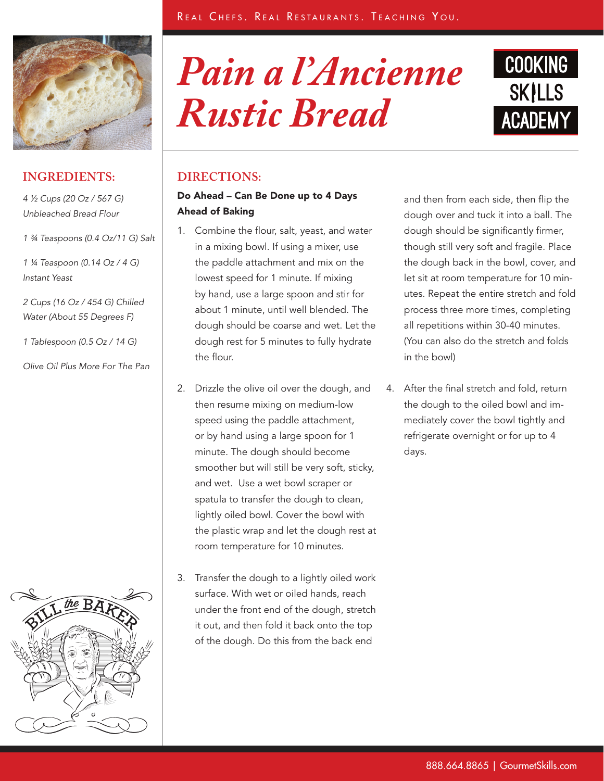

### **INGREDIENTS:**

*4 ½ Cups (20 Oz / 567 G) Unbleached Bread Flour*

*1 ¾ Teaspoons (0.4 Oz/11 G) Salt*

*1 ¼ Teaspoon (0.14 Oz / 4 G) Instant Yeast*

*2 Cups (16 Oz / 454 G) Chilled Water (About 55 Degrees F)*

*1 Tablespoon (0.5 Oz / 14 G)* 

*Olive Oil Plus More For The Pan*



# *Pain a l'Ancienne Rustic Bread*



### **DIRECTIONS:**

#### Do Ahead – Can Be Done up to 4 Days Ahead of Baking

- 1. Combine the flour, salt, yeast, and water in a mixing bowl. If using a mixer, use the paddle attachment and mix on the lowest speed for 1 minute. If mixing by hand, use a large spoon and stir for about 1 minute, until well blended. The dough should be coarse and wet. Let the dough rest for 5 minutes to fully hydrate the flour.
- 2. Drizzle the olive oil over the dough, and then resume mixing on medium-low speed using the paddle attachment, or by hand using a large spoon for 1 minute. The dough should become smoother but will still be very soft, sticky, and wet. Use a wet bowl scraper or spatula to transfer the dough to clean, lightly oiled bowl. Cover the bowl with the plastic wrap and let the dough rest at room temperature for 10 minutes.
- 3. Transfer the dough to a lightly oiled work surface. With wet or oiled hands, reach under the front end of the dough, stretch it out, and then fold it back onto the top of the dough. Do this from the back end

and then from each side, then flip the dough over and tuck it into a ball. The dough should be significantly firmer, though still very soft and fragile. Place the dough back in the bowl, cover, and let sit at room temperature for 10 minutes. Repeat the entire stretch and fold process three more times, completing all repetitions within 30-40 minutes. (You can also do the stretch and folds in the bowl)

4. After the final stretch and fold, return the dough to the oiled bowl and immediately cover the bowl tightly and refrigerate overnight or for up to 4 days.